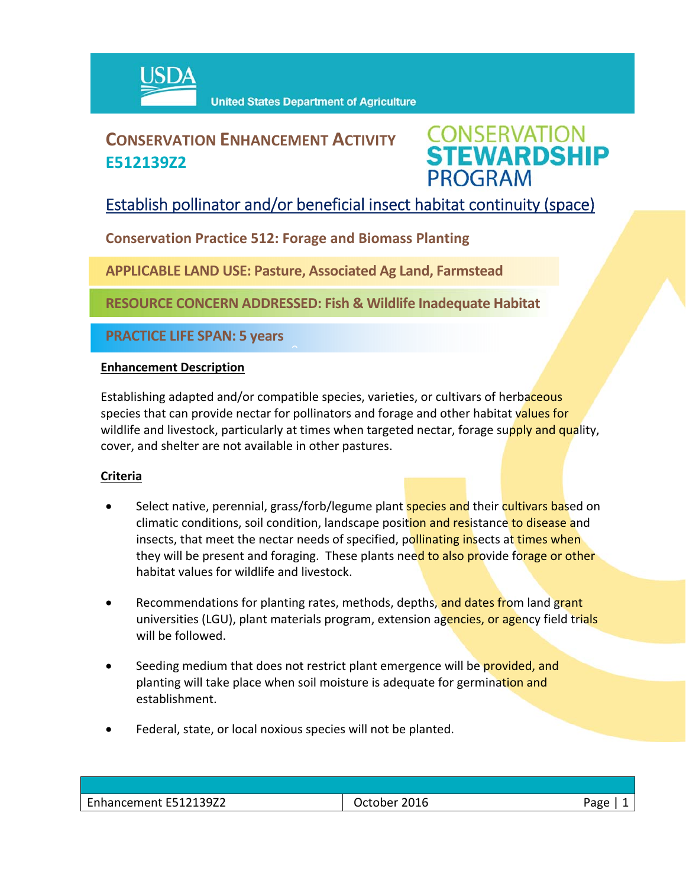

## **CONSERVATION ENHANCEMENT ACTIVITY E512139Z2**



### Establish pollinator and/or beneficial insect habitat continuity (space)

**Conservation Practice 512: Forage and Biomass Planting**

**APPLICABLE LAND USE: Pasture, Associated Ag Land, Farmstead**

 $\hat{a}$ 

**RESOURCE CONCERN ADDRESSED: Fish & Wildlife Inadequate Habitat** 

**PRACTICE LIFE SPAN: 5 years**

#### **Enhancement Description**

Establishing adapted and/or compatible species, varieties, or cultivars of herbaceous species that can provide nectar for pollinators and forage and other habitat values for wildlife and livestock, particularly at times when targeted nectar, forage supply and quality, cover, and shelter are not available in other pastures.

#### **Criteria**

- Select native, perennial, grass/forb/legume plant **species and** their cultivars based on climatic conditions, soil condition, landscape position and resistance to disease and insects, that meet the nectar needs of specified, pollinating insects at times when they will be present and foraging. These plants need to also provide forage or other habitat values for wildlife and livestock.
- Recommendations for planting rates, methods, depths, and dates from land grant universities (LGU), plant materials program, extension agencies, or agency field trials will be followed.
- Seeding medium that does not restrict plant emergence will be provided, and planting will take place when soil moisture is adequate for germination and establishment.
- Federal, state, or local noxious species will not be planted.

| Enhancement E512139Z2 | October 2016 | Page |
|-----------------------|--------------|------|